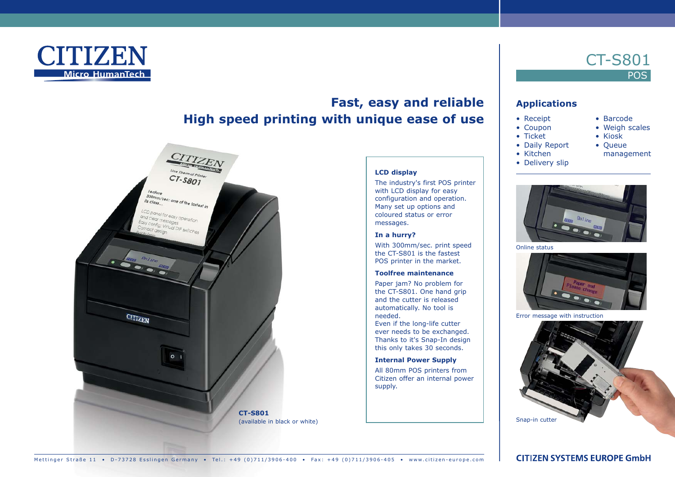

# **Fast, easy and reliable High speed printing with unique ease of use**



### **LCD display**

The industry's first POS printer with LCD display for easy configuration and operation. Many set up options and coloured status or error messages.

### **In a hurry?**

With 300mm/sec. print speed the CT-S801 is the fastest POS printer in the market.

### **Toolfree maintenance**

Paper jam? No problem for the CT-S801. One hand grip and the cutter is released automatically. No tool is needed.

Even if the long-life cutter ever needs to be exchanged. Thanks to it's Snap-In design this only takes 30 seconds.

#### **Internal Power Supply**

All 80mm POS printers from Citizen offer an internal power supply.

# **Applications**

- Receipt
	- Coupon
	- Ticket
	- Daily Report • Kitchen
- Queue management

• Barcode • Weigh scales • Kiosk

CT-S801

**POS** 

• Delivery slip



Online status



Error message with instruction



Mettinger Straße 11 • D-73728 Esslingen Germany • Tel.: +49 (0)711/3906-400 • Fax: +49 (0)711/3906-405 • www.citizen-europe.com